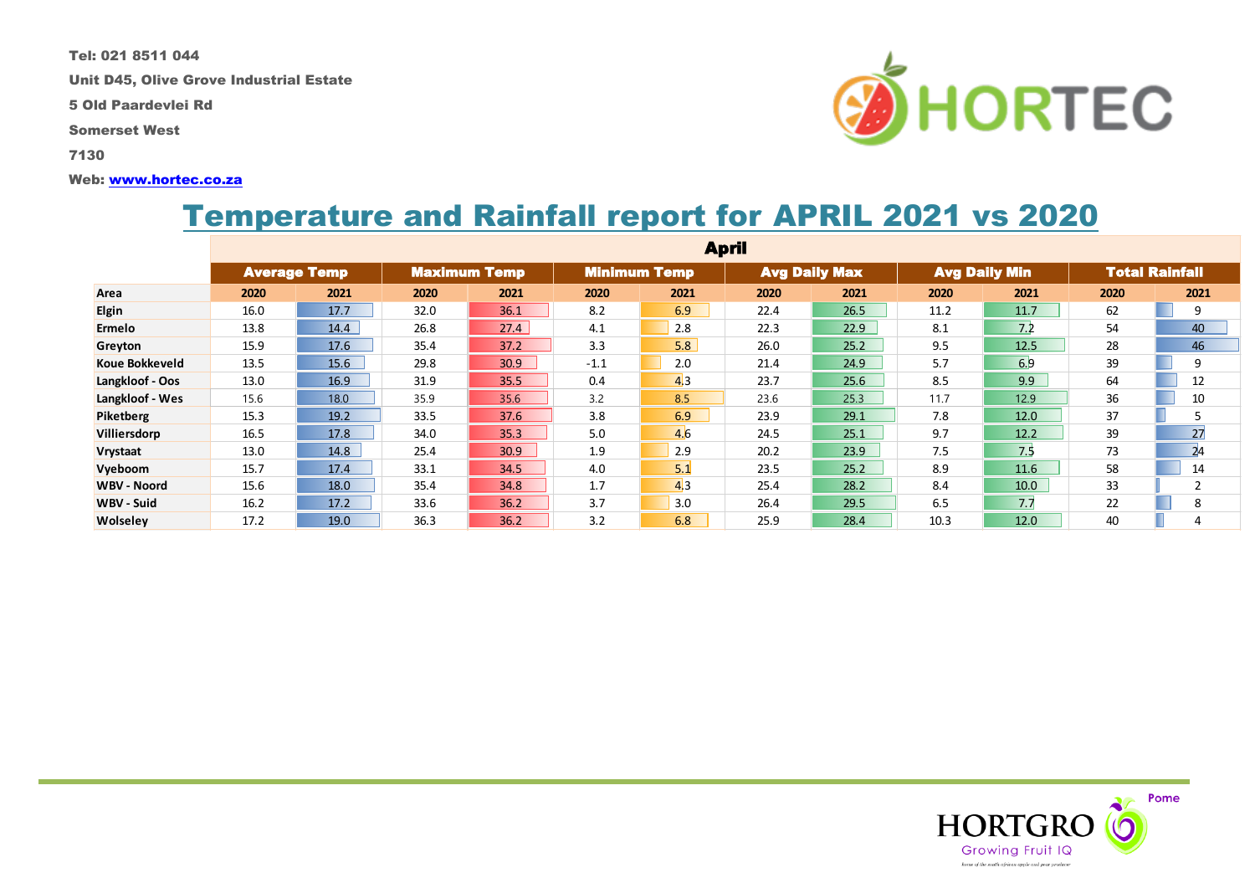Tel: 021 8511 044

Unit D45, Olive Grove Industrial Estate

5 Old Paardevlei Rd

Somerset West

7130

#### Web: [www.hortec.co.za](http://www.hortec.co.za/)

# Temperature and Rainfall report for APRIL 2021 vs 2020

|                    | <b>April</b>        |      |                     |      |                     |                |                      |      |                      |      |                       |      |
|--------------------|---------------------|------|---------------------|------|---------------------|----------------|----------------------|------|----------------------|------|-----------------------|------|
|                    | <b>Average Temp</b> |      | <b>Maximum Temp</b> |      | <b>Minimum Temp</b> |                | <b>Avg Daily Max</b> |      | <b>Avg Daily Min</b> |      | <b>Total Rainfall</b> |      |
| Area               | 2020                | 2021 | 2020                | 2021 | 2020                | 2021           | 2020                 | 2021 | 2020                 | 2021 | 2020                  | 2021 |
| <b>Elgin</b>       | 16.0                | 17.7 | 32.0                | 36.1 | 8.2                 | 6.9            | 22.4                 | 26.5 | 11.2                 | 11.7 | 62                    | 9    |
| Ermelo             | 13.8                | 14.4 | 26.8                | 27.4 | 4.1                 | 2.8            | 22.3                 | 22.9 | 8.1                  | 7.2  | 54                    | 40   |
| Greyton            | 15.9                | 17.6 | 35.4                | 37.2 | 3.3                 | 5.8            | 26.0                 | 25.2 | 9.5                  | 12.5 | 28                    | 46   |
| Koue Bokkeveld     | 13.5                | 15.6 | 29.8                | 30.9 | $-1.1$              | 2.0            | 21.4                 | 24.9 | 5.7                  | 6.9  | 39                    | 9    |
| Langkloof - Oos    | 13.0                | 16.9 | 31.9                | 35.5 | 0.4                 | 4 <sub>3</sub> | 23.7                 | 25.6 | 8.5                  | 9.9  | 64                    | 12   |
| Langkloof - Wes    | 15.6                | 18.0 | 35.9                | 35.6 | 3.2                 | 8.5            | 23.6                 | 25.3 | 11.7                 | 12.9 | 36                    | 10   |
| Piketberg          | 15.3                | 19.2 | 33.5                | 37.6 | 3.8                 | 6.9            | 23.9                 | 29.1 | 7.8                  | 12.0 | 37                    |      |
| Villiersdorp       | 16.5                | 17.8 | 34.0                | 35.3 | 5.0                 | 4.6            | 24.5                 | 25.1 | 9.7                  | 12.2 | 39                    | 27   |
| Vrystaat           | 13.0                | 14.8 | 25.4                | 30.9 | 1.9                 | 2.9            | 20.2                 | 23.9 | 7.5                  | 7.5  | 73                    | 24   |
| Vyeboom            | 15.7                | 17.4 | 33.1                | 34.5 | 4.0                 | 5.1            | 23.5                 | 25.2 | 8.9                  | 11.6 | 58                    | 14   |
| <b>WBV - Noord</b> | 15.6                | 18.0 | 35.4                | 34.8 | 1.7                 | 4 <sub>3</sub> | 25.4                 | 28.2 | 8.4                  | 10.0 | 33                    |      |
| <b>WBV - Suid</b>  | 16.2                | 17.2 | 33.6                | 36.2 | 3.7                 | 3.0            | 26.4                 | 29.5 | 6.5                  | 7.7  | 22                    | 8    |
| <b>Wolseley</b>    | 17.2                | 19.0 | 36.3                | 36.2 | 3.2                 | 6.8            | 25.9                 | 28.4 | 10.3                 | 12.0 | 40                    | 4    |



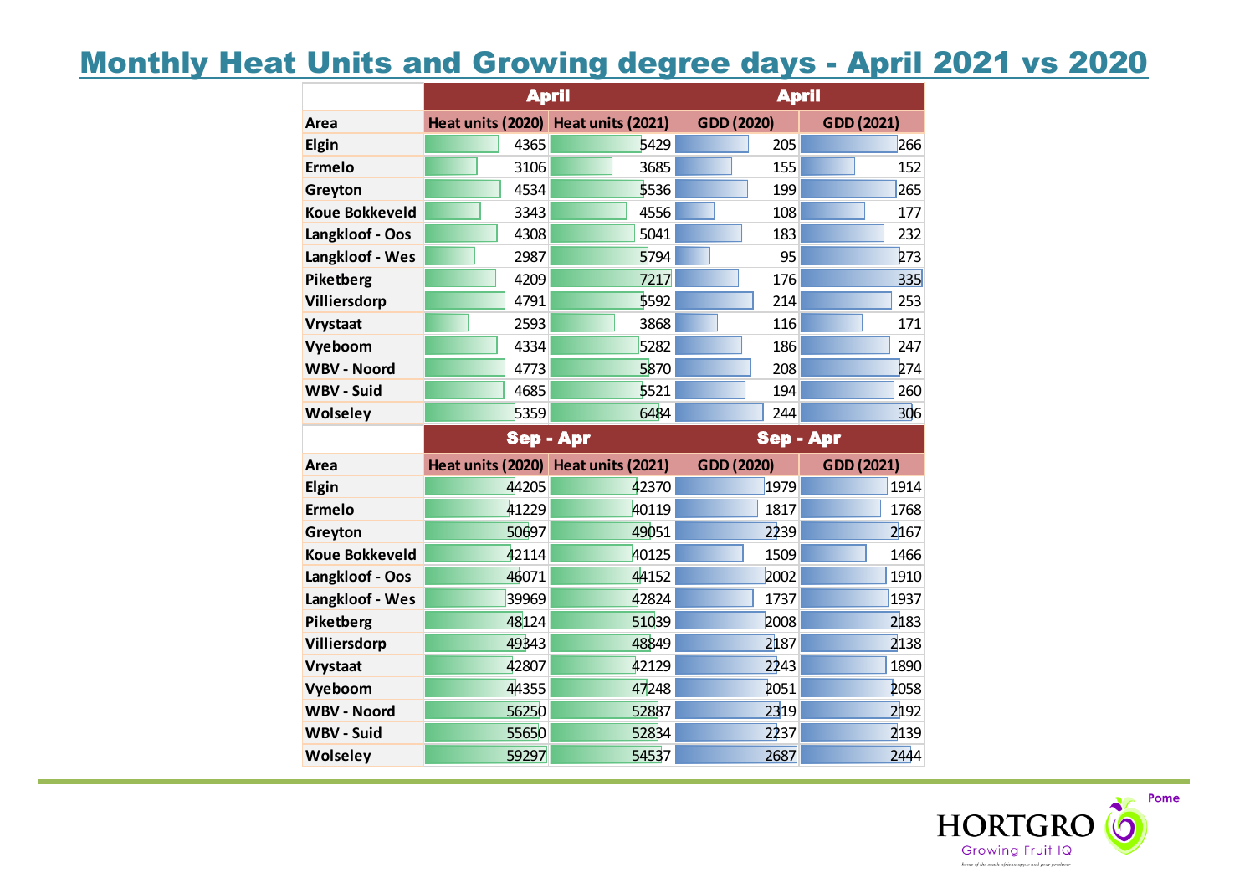# Monthly Heat Units and Growing degree days - April 2021 vs 2020

|                       | <b>April</b>                        |       | <b>April</b>     |            |  |  |
|-----------------------|-------------------------------------|-------|------------------|------------|--|--|
| Area                  | Heat units (2020) Heat units (2021) |       | GDD (2020)       | GDD (2021) |  |  |
| Elgin                 | 4365                                | 5429  | 205              | 266        |  |  |
| <b>Ermelo</b>         | 3106                                | 3685  | 155              | 152        |  |  |
| Greyton               | 4534                                | 5536  | 199              | 265        |  |  |
| <b>Koue Bokkeveld</b> | 3343                                | 4556  | 108              | 177        |  |  |
| Langkloof - Oos       | 4308                                | 5041  | 183              | 232        |  |  |
| Langkloof - Wes       | 2987                                | 5794  | 95               | 273        |  |  |
| Piketberg             | 4209                                | 7217  | 176              | 335        |  |  |
| Villiersdorp          | 4791                                | 5592  | 214              | 253        |  |  |
| <b>Vrystaat</b>       | 2593                                | 3868  | 116              | 171        |  |  |
| Vyeboom               | 4334                                | 5282  | 186              | 247        |  |  |
| <b>WBV - Noord</b>    | 4773                                | 5870  | 208              | 274        |  |  |
| <b>WBV - Suid</b>     | 4685                                | 5521  | 194              | 260        |  |  |
| Wolseley              | 5359                                | 6484  | 244              | 306        |  |  |
|                       |                                     |       |                  |            |  |  |
|                       | <b>Sep - Apr</b>                    |       | <b>Sep - Apr</b> |            |  |  |
| Area                  | Heat units (2020) Heat units (2021) |       | GDD (2020)       | GDD (2021) |  |  |
| Elgin                 | 44205                               | 42370 | 1979             | 1914       |  |  |
| <b>Ermelo</b>         | 41229                               | 40119 | 1817             | 1768       |  |  |
| Greyton               | 50697                               | 49051 | 2239             | 2167       |  |  |
| <b>Koue Bokkeveld</b> | 42114                               | 40125 | 1509             | 1466       |  |  |
| Langkloof - Oos       | 46071                               | 44152 | 2002             | 1910       |  |  |
| Langkloof - Wes       | 39969                               | 42824 | 1737             | 1937       |  |  |
| Piketberg             | 48124                               | 51039 | 2008             | 2183       |  |  |
| Villiersdorp          | 49343                               | 48849 | 2187             | 2138       |  |  |
| <b>Vrystaat</b>       | 42807                               | 42129 | 2243             | 1890       |  |  |
| Vyeboom               | 44355                               | 47248 | 2051             | 2058       |  |  |
| <b>WBV - Noord</b>    | 56250                               | 52887 | 2319             | 2192       |  |  |
| <b>WBV - Suid</b>     | 55650                               | 52834 | 2237             | 2139       |  |  |

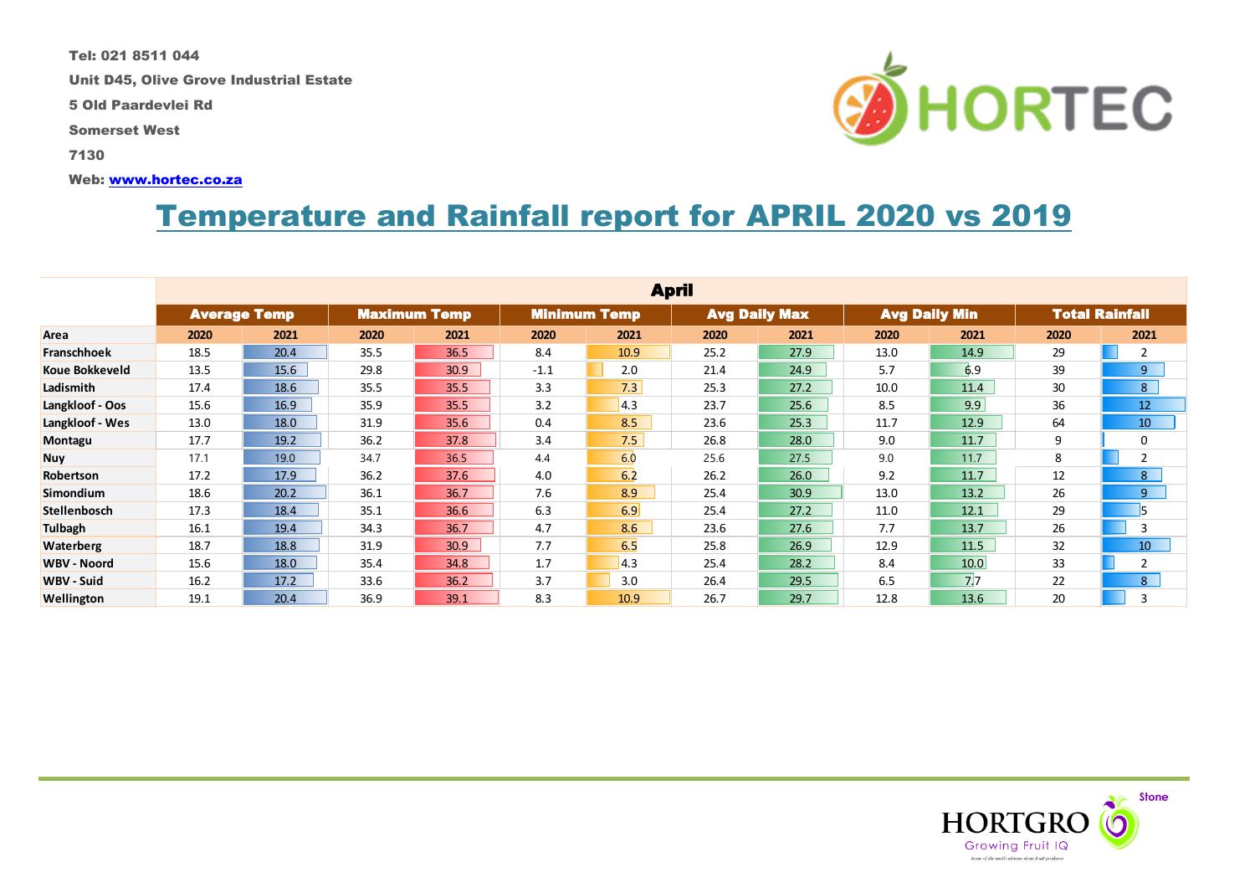Tel: 021 8511 044

Unit D45, Olive Grove Industrial Estate

5 Old Paardevlei Rd

Somerset West

7130

Web: [www.hortec.co.za](http://www.hortec.co.za/)

# Temperature and Rainfall report for APRIL 2020 vs 2019

|                       | <b>April</b>        |      |      |                     |                     |      |                      |      |                      |                 |                       |                 |
|-----------------------|---------------------|------|------|---------------------|---------------------|------|----------------------|------|----------------------|-----------------|-----------------------|-----------------|
|                       | <b>Average Temp</b> |      |      | <b>Maximum Temp</b> | <b>Minimum Temp</b> |      | <b>Avg Daily Max</b> |      | <b>Avg Daily Min</b> |                 | <b>Total Rainfall</b> |                 |
| Area                  | 2020                | 2021 | 2020 | 2021                | 2020                | 2021 | 2020                 | 2021 | 2020                 | 2021            | 2020                  | 2021            |
| <b>Franschhoek</b>    | 18.5                | 20.4 | 35.5 | 36.5                | 8.4                 | 10.9 | 25.2                 | 27.9 | 13.0                 | 14.9            | 29                    | $\overline{2}$  |
| <b>Koue Bokkeveld</b> | 13.5                | 15.6 | 29.8 | 30.9                | $-1.1$              | 2.0  | 21.4                 | 24.9 | 5.7                  | 6.9             | 39                    | 9               |
| Ladismith             | 17.4                | 18.6 | 35.5 | 35.5                | 3.3                 | 7.3  | 25.3                 | 27.2 | 10.0                 | 11.4            | 30                    | 8 <sup>1</sup>  |
| Langkloof - Oos       | 15.6                | 16.9 | 35.9 | 35.5                | 3.2                 | 4.3  | 23.7                 | 25.6 | 8.5                  | 9.9             | 36                    | 12              |
| Langkloof - Wes       | 13.0                | 18.0 | 31.9 | 35.6                | 0.4                 | 8.5  | 23.6                 | 25.3 | 11.7                 | 12.9            | 64                    | 10              |
| Montagu               | 17.7                | 19.2 | 36.2 | 37.8                | 3.4                 | 7.5  | 26.8                 | 28.0 | 9.0                  | 11.7            | 9                     | 0               |
| <b>Nuy</b>            | 17.1                | 19.0 | 34.7 | 36.5                | 4.4                 | 6.0  | 25.6                 | 27.5 | 9.0                  | 11.7            | 8                     | $\overline{2}$  |
| Robertson             | 17.2                | 17.9 | 36.2 | 37.6                | 4.0                 | 6.2  | 26.2                 | 26.0 | 9.2                  | 11.7            | 12                    | 8               |
| <b>Simondium</b>      | 18.6                | 20.2 | 36.1 | 36.7                | 7.6                 | 8.9  | 25.4                 | 30.9 | 13.0                 | 13.2            | 26                    | 9               |
| Stellenbosch          | 17.3                | 18.4 | 35.1 | 36.6                | 6.3                 | 6.9  | 25.4                 | 27.2 | 11.0                 | 12.1            | 29                    |                 |
| Tulbagh               | 16.1                | 19.4 | 34.3 | 36.7                | 4.7                 | 8.6  | 23.6                 | 27.6 | 7.7                  | 13.7            | 26                    | 3               |
| <b>Waterberg</b>      | 18.7                | 18.8 | 31.9 | 30.9                | 7.7                 | 6.5  | 25.8                 | 26.9 | 12.9                 | 11.5            | 32                    | 10 <sup>°</sup> |
| <b>WBV - Noord</b>    | 15.6                | 18.0 | 35.4 | 34.8                | 1.7                 | 4.3  | 25.4                 | 28.2 | 8.4                  | 10.0            | 33                    | $\overline{2}$  |
| WBV - Suid            | 16.2                | 17.2 | 33.6 | 36.2                | 3.7                 | 3.0  | 26.4                 | 29.5 | 6.5                  | $7\overline{7}$ | 22                    | 8               |
| Wellington            | 19.1                | 20.4 | 36.9 | 39.1                | 8.3                 | 10.9 | 26.7                 | 29.7 | 12.8                 | 13.6            | 20                    | 3               |



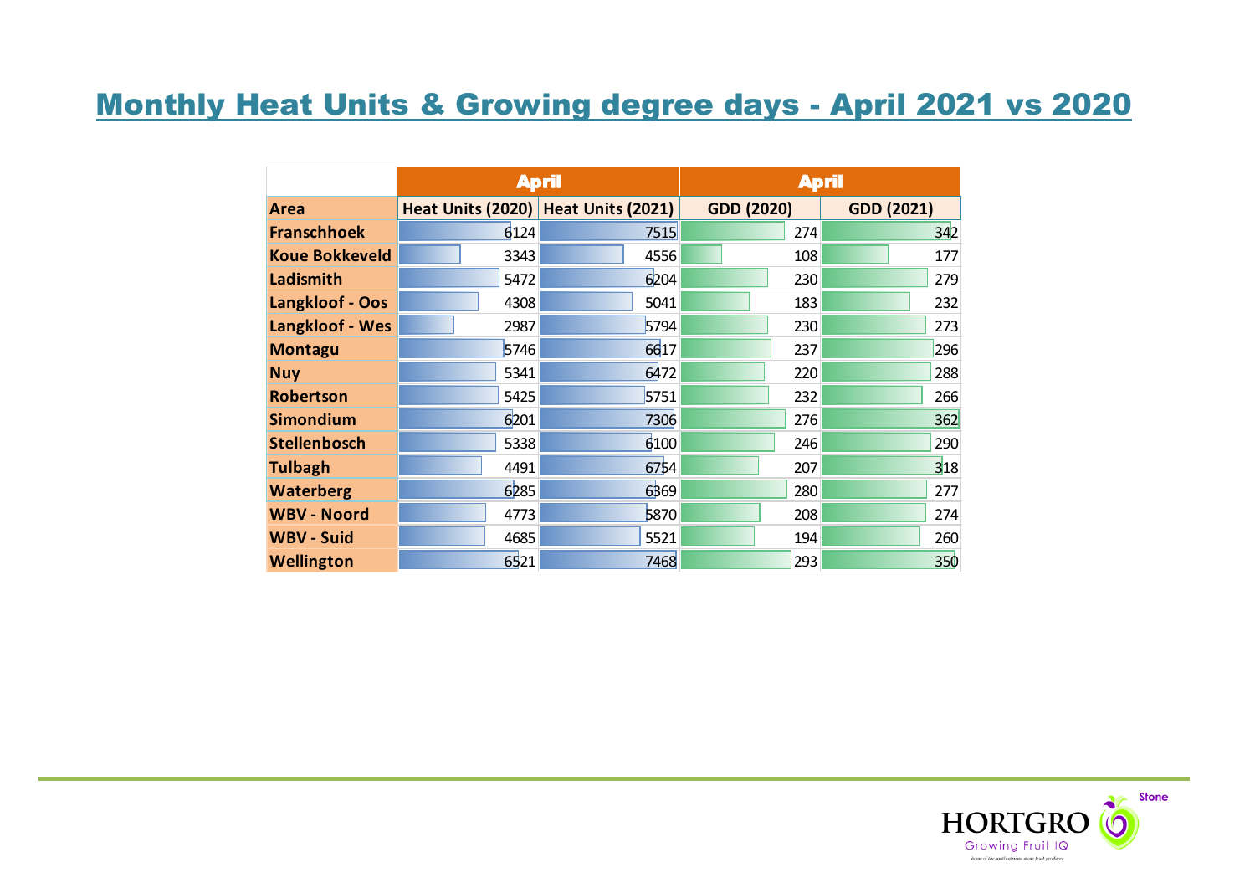# Monthly Heat Units & Growing degree days - April 2021 vs 2020

|                       | <b>April</b> |                                       | <b>April</b>      |                   |  |  |
|-----------------------|--------------|---------------------------------------|-------------------|-------------------|--|--|
| Area                  |              | Heat Units (2020)   Heat Units (2021) | <b>GDD (2020)</b> | <b>GDD (2021)</b> |  |  |
| <b>Franschhoek</b>    | 6124         | 7515                                  | 274               | 342               |  |  |
| <b>Koue Bokkeveld</b> | 3343         | 4556                                  | 108               | 177               |  |  |
| Ladismith             | 5472         | 6204                                  | 230               | 279               |  |  |
| Langkloof - Oos       | 4308         | 5041                                  | 183               | 232               |  |  |
| Langkloof - Wes       | 2987         | 5794                                  | 230               | 273               |  |  |
| <b>Montagu</b>        | 5746         | 6617                                  | 237               | 296               |  |  |
| <b>Nuy</b>            | 5341         | 6472                                  | 220               | 288               |  |  |
| <b>Robertson</b>      | 5425         | 5751                                  | 232               | 266               |  |  |
| <b>Simondium</b>      | 6201         | 7306                                  | 276               | 362               |  |  |
| <b>Stellenbosch</b>   | 5338         | 6100                                  | 246               | 290               |  |  |
| <b>Tulbagh</b>        | 4491         | 6754                                  | 207               | 318               |  |  |
| <b>Waterberg</b>      | 6285         | 6369                                  | 280               | 277               |  |  |
| <b>WBV - Noord</b>    | 4773         | 5870                                  | 208               | 274               |  |  |
| <b>WBV - Suid</b>     | 4685         | 5521                                  | 194               | 260               |  |  |
| <b>Wellington</b>     | 6521         | 7468                                  | 293               | 350               |  |  |